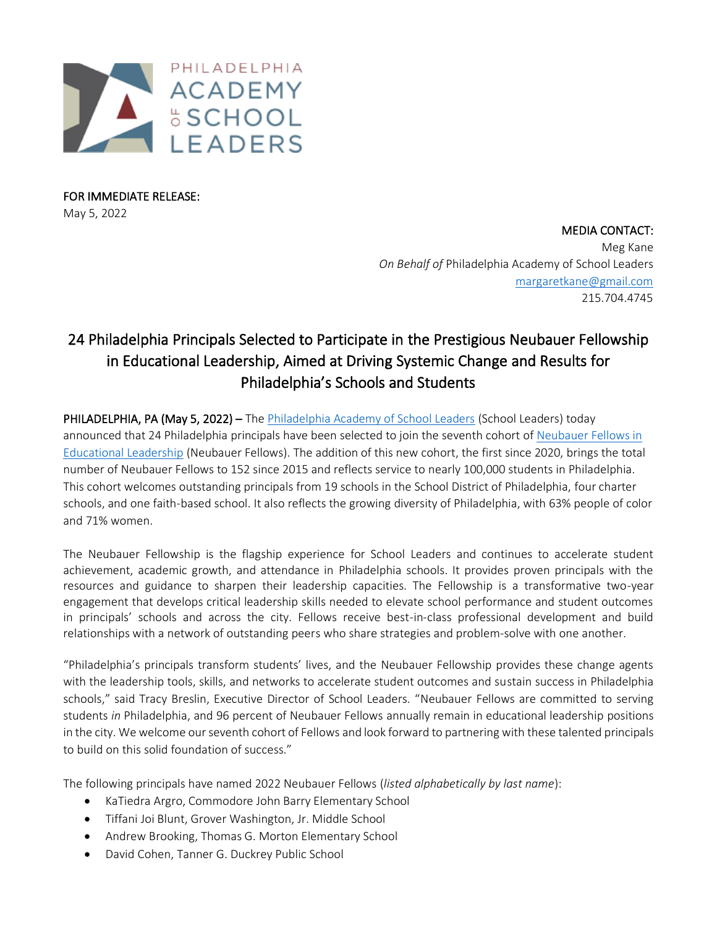

FOR IMMEDIATE RELEASE: May 5, 2022

> MEDIA CONTACT: Meg Kane *On Behalf of* Philadelphia Academy of School Leaders [margaretkane@gmail.com](mailto:margaretkane@gmail.com) 215.704.4745

## 24 Philadelphia Principals Selected to Participate in the Prestigious Neubauer Fellowship in Educational Leadership, Aimed at Driving Systemic Change and Results for Philadelphia's Schools and Students

PHILADELPHIA, PA (May 5, 2022) – Th[e Philadelphia Academy of School Leaders](https://phillyschoolleaders.org/) (School Leaders) today announced that 24 Philadelphia principals have been selected to join the seventh cohort of [Neubauer Fellows in](https://phillyschoolleaders.org/neubauer-fellowship-overview/)  [Educational Leadership](https://phillyschoolleaders.org/neubauer-fellowship-overview/) (Neubauer Fellows). The addition of this new cohort, the first since 2020, brings the total number of Neubauer Fellows to 152 since 2015 and reflects service to nearly 100,000 students in Philadelphia. This cohort welcomes outstanding principals from 19 schools in the School District of Philadelphia, four charter schools, and one faith-based school. It also reflects the growing diversity of Philadelphia, with 63% people of color and 71% women.

The Neubauer Fellowship is the flagship experience for School Leaders and continues to accelerate student achievement, academic growth, and attendance in Philadelphia schools. It provides proven principals with the resources and guidance to sharpen their leadership capacities. The Fellowship is a transformative two-year engagement that develops critical leadership skills needed to elevate school performance and student outcomes in principals' schools and across the city. Fellows receive best-in-class professional development and build relationships with a network of outstanding peers who share strategies and problem-solve with one another.

"Philadelphia's principals transform students' lives, and the Neubauer Fellowship provides these change agents with the leadership tools, skills, and networks to accelerate student outcomes and sustain success in Philadelphia schools," said Tracy Breslin, Executive Director of School Leaders. "Neubauer Fellows are committed to serving students *in* Philadelphia, and 96 percent of Neubauer Fellows annually remain in educational leadership positions in the city. We welcome our seventh cohort of Fellows and look forward to partnering with these talented principals to build on this solid foundation of success."

The following principals have named 2022 Neubauer Fellows (*listed alphabetically by last name*):

- KaTiedra Argro, Commodore John Barry Elementary School
- Tiffani Joi Blunt, Grover Washington, Jr. Middle School
- Andrew Brooking, Thomas G. Morton Elementary School
- David Cohen, Tanner G. Duckrey Public School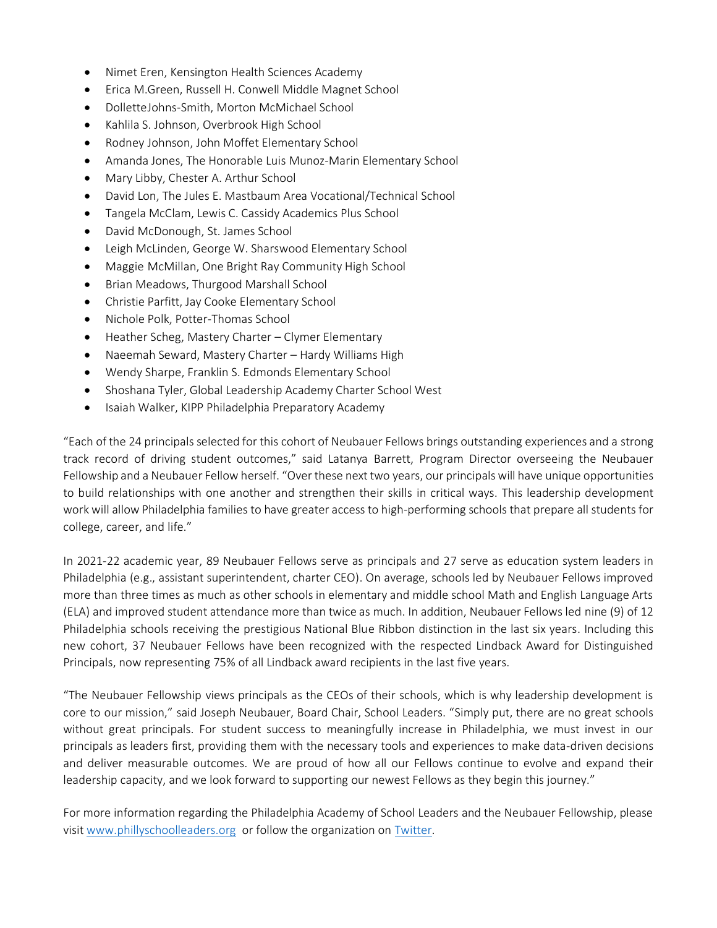- Nimet Eren, Kensington Health Sciences Academy
- Erica M.Green, Russell H. Conwell Middle Magnet School
- DolletteJohns-Smith, Morton McMichael School
- Kahlila S. Johnson, Overbrook High School
- Rodney Johnson, John Moffet Elementary School
- Amanda Jones, The Honorable Luis Munoz-Marin Elementary School
- Mary Libby, Chester A. Arthur School
- David Lon, The Jules E. Mastbaum Area Vocational/Technical School
- Tangela McClam, Lewis C. Cassidy Academics Plus School
- David McDonough, St. James School
- Leigh McLinden, George W. Sharswood Elementary School
- Maggie McMillan, One Bright Ray Community High School
- Brian Meadows, Thurgood Marshall School
- Christie Parfitt, Jay Cooke Elementary School
- Nichole Polk, Potter-Thomas School
- Heather Scheg, Mastery Charter Clymer Elementary
- Naeemah Seward, Mastery Charter Hardy Williams High
- Wendy Sharpe, Franklin S. Edmonds Elementary School
- Shoshana Tyler, Global Leadership Academy Charter School West
- Isaiah Walker, KIPP Philadelphia Preparatory Academy

"Each of the 24 principals selected for this cohort of Neubauer Fellows brings outstanding experiences and a strong track record of driving student outcomes," said Latanya Barrett, Program Director overseeing the Neubauer Fellowship and a Neubauer Fellow herself. "Over these next two years, our principals will have unique opportunities to build relationships with one another and strengthen their skills in critical ways. This leadership development work will allow Philadelphia families to have greater access to high-performing schools that prepare all students for college, career, and life."

In 2021-22 academic year, 89 Neubauer Fellows serve as principals and 27 serve as education system leaders in Philadelphia (e.g., assistant superintendent, charter CEO). On average, schools led by Neubauer Fellows improved more than three times as much as other schools in elementary and middle school Math and English Language Arts (ELA) and improved student attendance more than twice as much. In addition, Neubauer Fellows led nine (9) of 12 Philadelphia schools receiving the prestigious National Blue Ribbon distinction in the last six years. Including this new cohort, 37 Neubauer Fellows have been recognized with the respected Lindback Award for Distinguished Principals, now representing 75% of all Lindback award recipients in the last five years.

"The Neubauer Fellowship views principals as the CEOs of their schools, which is why leadership development is core to our mission," said Joseph Neubauer, Board Chair, School Leaders. "Simply put, there are no great schools without great principals. For student success to meaningfully increase in Philadelphia, we must invest in our principals as leaders first, providing them with the necessary tools and experiences to make data-driven decisions and deliver measurable outcomes. We are proud of how all our Fellows continue to evolve and expand their leadership capacity, and we look forward to supporting our newest Fellows as they begin this journey."

For more information regarding the Philadelphia Academy of School Leaders and the Neubauer Fellowship, please visit [www.phillyschoolleaders.org](http://www.phillyschoolleaders.org/) or follow the organization on [Twitter.](https://twitter.com/LeadersPHL)